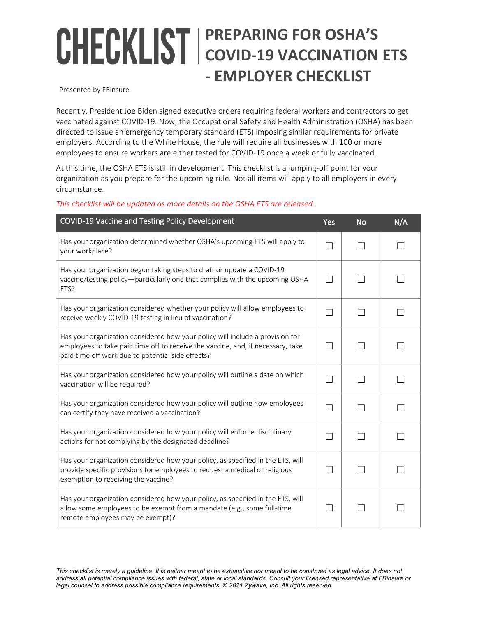## **PREPARING FOR OSHA'S COVID-19 VACCINATION ETS - EMPLOYER CHECKLIST**

Presented by FBinsure

Recently, President Joe Biden signed executive orders requiring federal workers and contractors to get vaccinated against COVID-19. Now, the Occupational Safety and Health Administration (OSHA) has been directed to issue an emergency temporary standard (ETS) imposing similar requirements for private employers. According to the White House, the rule will require all businesses with 100 or more employees to ensure workers are either tested for COVID-19 once a week or fully vaccinated.

At this time, the OSHA ETS is still in development. This checklist is a jumping-off point for your organization as you prepare for the upcoming rule. Not all items will apply to all employers in every circumstance.

| COVID-19 Vaccine and Testing Policy Development                                                                                                                                                                       | Yes | <b>No</b> | N/A |
|-----------------------------------------------------------------------------------------------------------------------------------------------------------------------------------------------------------------------|-----|-----------|-----|
| Has your organization determined whether OSHA's upcoming ETS will apply to<br>your workplace?                                                                                                                         | П   |           |     |
| Has your organization begun taking steps to draft or update a COVID-19<br>vaccine/testing policy-particularly one that complies with the upcoming OSHA<br>ETS?                                                        |     |           |     |
| Has your organization considered whether your policy will allow employees to<br>receive weekly COVID-19 testing in lieu of vaccination?                                                                               |     |           |     |
| Has your organization considered how your policy will include a provision for<br>employees to take paid time off to receive the vaccine, and, if necessary, take<br>paid time off work due to potential side effects? |     |           |     |
| Has your organization considered how your policy will outline a date on which<br>vaccination will be required?                                                                                                        |     |           |     |
| Has your organization considered how your policy will outline how employees<br>can certify they have received a vaccination?                                                                                          |     |           |     |
| Has your organization considered how your policy will enforce disciplinary<br>actions for not complying by the designated deadline?                                                                                   |     |           |     |
| Has your organization considered how your policy, as specified in the ETS, will<br>provide specific provisions for employees to request a medical or religious<br>exemption to receiving the vaccine?                 |     |           |     |
| Has your organization considered how your policy, as specified in the ETS, will<br>allow some employees to be exempt from a mandate (e.g., some full-time<br>remote employees may be exempt)?                         |     |           |     |

*This checklist will be updated as more details on the OSHA ETS are released.*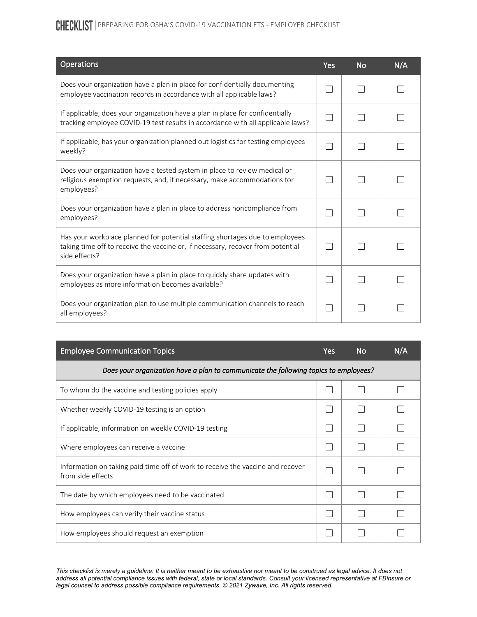CHECKLIST | PREPARING FOR OSHA'S COVID-19 VACCINATION ETS - EMPLOYER CHECKLIST

| <b>Operations</b>                                                                                                                                                                | Yes           | <b>No</b> | N/A |
|----------------------------------------------------------------------------------------------------------------------------------------------------------------------------------|---------------|-----------|-----|
| Does your organization have a plan in place for confidentially documenting<br>employee vaccination records in accordance with all applicable laws?                               |               |           |     |
| If applicable, does your organization have a plan in place for confidentially<br>tracking employee COVID-19 test results in accordance with all applicable laws?                 | $\mathcal{L}$ |           |     |
| If applicable, has your organization planned out logistics for testing employees<br>weekly?                                                                                      | $\mathcal{L}$ |           |     |
| Does your organization have a tested system in place to review medical or<br>religious exemption requests, and, if necessary, make accommodations for<br>employees?              | $\sim$        |           |     |
| Does your organization have a plan in place to address noncompliance from<br>employees?                                                                                          |               |           |     |
| Has your workplace planned for potential staffing shortages due to employees<br>taking time off to receive the vaccine or, if necessary, recover from potential<br>side effects? |               |           |     |
| Does your organization have a plan in place to quickly share updates with<br>employees as more information becomes available?                                                    |               |           |     |
| Does your organization plan to use multiple communication channels to reach<br>all employees?                                                                                    |               |           |     |

| <b>Employee Communication Topics</b>                                                                | <b>Yes</b> | <b>No</b> | N/A |  |  |
|-----------------------------------------------------------------------------------------------------|------------|-----------|-----|--|--|
| Does your organization have a plan to communicate the following topics to employees?                |            |           |     |  |  |
| To whom do the vaccine and testing policies apply                                                   |            |           |     |  |  |
| Whether weekly COVID-19 testing is an option                                                        |            |           |     |  |  |
| If applicable, information on weekly COVID-19 testing                                               |            |           |     |  |  |
| Where employees can receive a vaccine                                                               |            |           |     |  |  |
| Information on taking paid time off of work to receive the vaccine and recover<br>from side effects |            |           |     |  |  |
| The date by which employees need to be vaccinated                                                   |            |           |     |  |  |
| How employees can verify their vaccine status                                                       |            |           |     |  |  |
| How employees should request an exemption                                                           |            |           |     |  |  |

*This checklist is merely a guideline. It is neither meant to be exhaustive nor meant to be construed as legal advice. It does not address all potential compliance issues with federal, state or local standards. Consult your licensed representative at FBinsure or legal counsel to address possible compliance requirements*. *© 2021 Zywave, Inc. All rights reserved.*